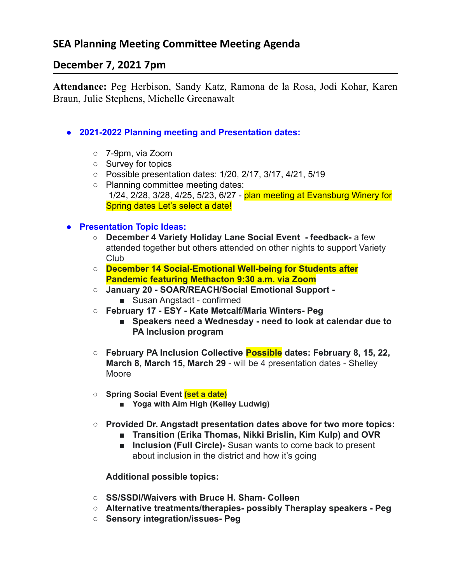# **SEA Planning Meeting Committee Meeting Agenda**

## **December 7, 2021 7pm**

**Attendance:** Peg Herbison, Sandy Katz, Ramona de la Rosa, Jodi Kohar, Karen Braun, Julie Stephens, Michelle Greenawalt

- **● 2021-2022 Planning meeting and Presentation dates:**
	- 7-9pm, via Zoom
	- Survey for topics
	- Possible presentation dates: 1/20, 2/17, 3/17, 4/21, 5/19
	- Planning committee meeting dates: 1/24, 2/28, 3/28, 4/25, 5/23, 6/27 - plan meeting at Evansburg Winery for Spring dates Let's select a date!

### **● Presentation Topic Ideas:**

- **○ December 4 Variety Holiday Lane Social Event feedback-** a few attended together but others attended on other nights to support Variety Club
- **○ December 14 Social-Emotional Well-being for Students after Pandemic featuring Methacton 9:30 a.m. via Zoom**
- **○ January 20 SOAR/REACH/Social Emotional Support -** ■ Susan Angstadt - confirmed
- **○ February 17 ESY Kate Metcalf/Maria Winters- Peg**
	- **■ Speakers need a Wednesday need to look at calendar due to PA Inclusion program**
- **○ February PA Inclusion Collective Possible dates: February 8, 15, 22, March 8, March 15, March 29** - will be 4 presentation dates - Shelley Moore
- **○ Spring Social Event (set a date)**
	- **■ Yoga with Aim High (Kelley Ludwig)**
- **○ Provided Dr. Angstadt presentation dates above for two more topics:**
	- **■ Transition (Erika Thomas, Nikki Brislin, Kim Kulp) and OVR**
	- **Inclusion (Full Circle)** Susan wants to come back to present about inclusion in the district and how it's going

#### **Additional possible topics:**

- **○ SS/SSDI/Waivers with Bruce H. Sham- Colleen**
- **○ Alternative treatments/therapies- possibly Theraplay speakers Peg**
- **○ Sensory integration/issues- Peg**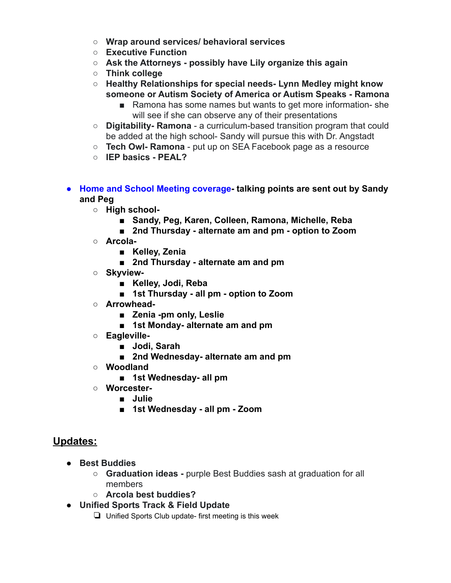- **○ Wrap around services/ behavioral services**
- **○ Executive Function**
- **○ Ask the Attorneys possibly have Lily organize this again**
- **○ Think college**
- **○ Healthy Relationships for special needs- Lynn Medley might know someone or Autism Society of America or Autism Speaks - Ramona**
	- Ramona has some names but wants to get more information-she will see if she can observe any of their presentations
- **○ Digitability- Ramona** a curriculum-based transition program that could be added at the high school- Sandy will pursue this with Dr. Angstadt
- **○ Tech Owl- Ramona** put up on SEA Facebook page as a resource
- **○ IEP basics PEAL?**
- **● Home and School Meeting coverage- talking points are sent out by Sandy and Peg**
	- **○ High school-**
		- **■ Sandy, Peg, Karen, Colleen, Ramona, Michelle, Reba**
		- **■ 2nd Thursday alternate am and pm option to Zoom**
	- **○ Arcola-**
		- **■ Kelley, Zenia**
		- **■ 2nd Thursday alternate am and pm**
	- **○ Skyview-**
		- **■ Kelley, Jodi, Reba**
		- **■ 1st Thursday all pm option to Zoom**
	- **○ Arrowhead-**
		- **■ Zenia -pm only, Leslie**
		- **■ 1st Monday- alternate am and pm**
	- **○ Eagleville-**
		- **■ Jodi, Sarah**
		- **■ 2nd Wednesday- alternate am and pm**
	- **○ Woodland**
		- **■ 1st Wednesday- all pm**
	- **○ Worcester-**
		- **■ Julie**
		- **■ 1st Wednesday all pm Zoom**

## **Updates:**

- **● Best Buddies**
	- **○ Graduation ideas -** purple Best Buddies sash at graduation for all members
	- **○ Arcola best buddies?**
- **● Unified Sports Track & Field Update**
	- ❏ Unified Sports Club update- first meeting is this week